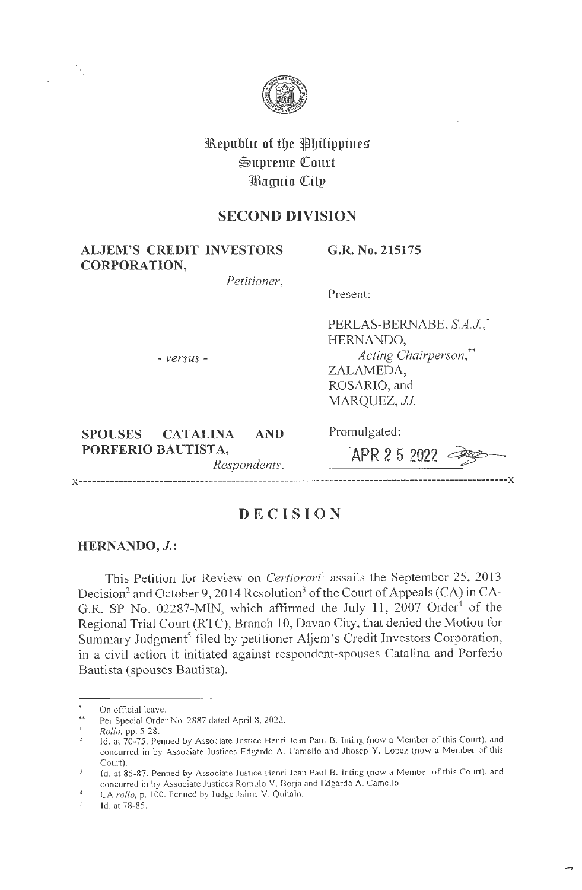

**l\epuhlic of tl)e ~IJtlipptnes \$1tpreme QCourt JEaguio QCitp** 

# **SECOND DIVISION**

**ALJEM'S CREDIT INVESTORS CORPORATION,** 

**G.R. No. 215175** 

*Petitioner,* 

Present:

Promulgated:

- *versus* -

PERLAS-BERNABE, S.A.J.,\* HERNANDO, *Acting Chairperson,\*\**  ZALAMEDA, ROSARJO, and MARQUEZ, *JJ.* 

**SPOUSES CATALINA AND PORFERIO BAUTISTA,**  *Respondents.* 

**-APR 2 5 2022** ~

**x------------------------------------------------------------------------------------------------x** 

## **DECISION**

### **HERN ANDO, J.:**

This Petition for Review on *Certiorari*<sup>1</sup> assails the September 25, 2013 Decision<sup>2</sup> and October 9, 2014 Resolution<sup>3</sup> of the Court of Appeals (CA) in CA-G.R. SP No. 02287-MIN, which affirmed the July 11,  $2007$  Order<sup>4</sup> of the Regional Trial Court (RTC), Branch 10, Davao City, that denied the Motion for Summary Judgment<sup>5</sup> filed by petitioner Aljem's Credit Investors Corporation, in a civil action it initiated against respondent-spouses Catalina and Porferio Bautista (spouses Bautista).

On official leave.

i. Per Special Order No. 2887 dated April 8, 2022.

*Rollo,* pp. 5-28.

Jd. at 70-75. Penned by Associate Justice Henri Jean Paul B. lnting (now a Member of this Court), and concurred in by Associate Justices Edgardo A. Camello and Jhosep Y. Lopez (now a Member of this Court).

Id. at 85-87. Penned by Associate Justice Henri Jean Paul B. Inting (now a Member of this Court), and concurred in by Associate Justices Romulo V. Borja and Edgardo A. Camello.

 $\overline{4}$ CA rollo, p. 100. Penned by Judge Jaime V. Quitain.

 $\mathbb{S}$ Id. at 78-85.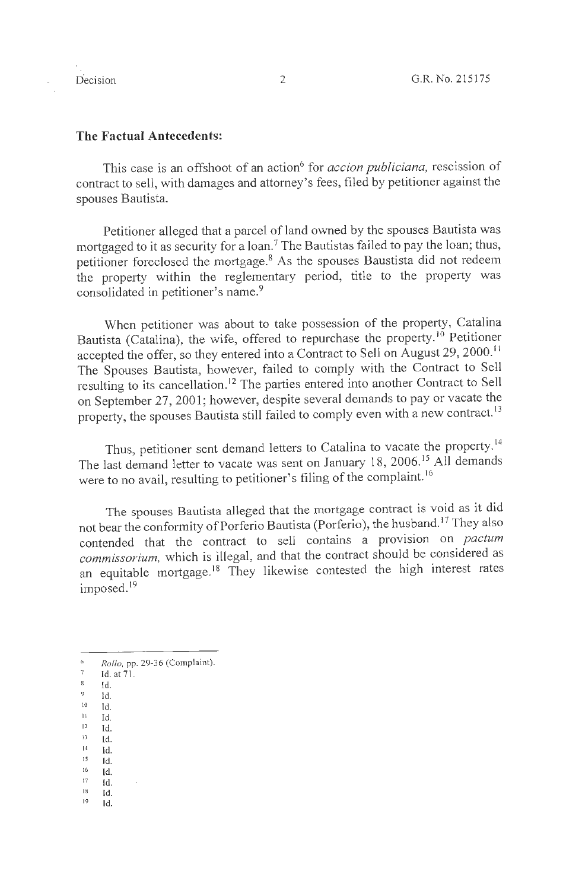#### **The Factual Antecedents:**

This case is an offshoot of an action<sup>6</sup> for *accion publiciana*, rescission of contract to sell, with damages and attorney's fees, filed by petitioner against the spouses Bautista.

Petitioner alleged that a parcel of land owned by the spouses Bautista was mortgaged to it as security for a loan.<sup>7</sup> The Bautistas failed to pay the loan; thus, petitioner foreclosed the mortgage.<sup>8</sup> As the spouses Baustista did not redeem the property within the reglementary period, title to the property was consolidated in petitioner's name.<sup>9</sup>

When petitioner was about to take possession of the property, Catalina Bautista (Catalina), the wife, offered to repurchase the property.<sup>10</sup> Petitioner accepted the offer, so they entered into a Contract to Sell on August 29, 2000. <sup>11</sup> The Spouses Bautista, however, failed to comply with the Contract to Sell resulting to its cancellation. 12 The parties entered into another Contract to Sell on September 27, 2001; however, despite several demands to pay or vacate the property, the spouses Bautista still failed to comply even with a new contract.<sup>13</sup>

Thus, petitioner sent demand letters to Catalina to vacate the property.<sup>14</sup> The last demand letter to vacate was sent on January 18, 2006.<sup>15</sup> All demands were to no avail, resulting to petitioner's filing of the complaint. <sup>16</sup>

The spouses Bautista alleged that the mortgage contract is void as it did not bear the conformity of Porferio Bautista (Porferio), the husband.<sup>17</sup> They also contended that the contract to sell contains a provision on *pactum commissorium,* which is illegal, and that the contract should be considered as an equitable mortgage.<sup>18</sup> They likewise contested the high interest rates imposed.<sup>19</sup>

- $12$  Id.
- $^{13}$  **Id.**
- 14 Id.
- $15$  Id.  $16$  Id.
- $17 1d.$
- $18$  Id.

 $\mathbf{r}$ 

19 Id.

*Rollo*, pp. 29-36 (Complaint).

 $7$  Id. at  $71$ .

<sup>8</sup> Id.

 $\frac{9}{10}$  **Id.** Id.

 $11$  Id.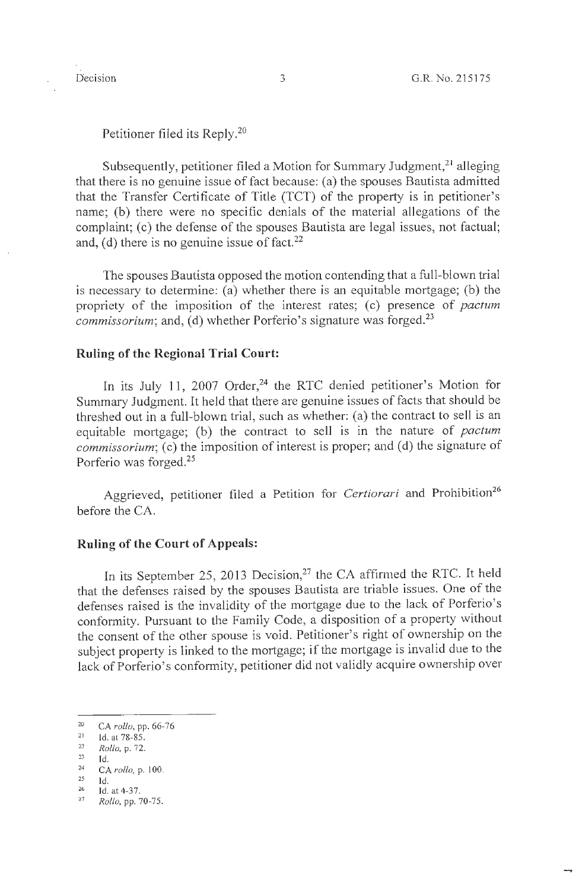Petitioner filed its Reply.<sup>20</sup>

Subsequently, petitioner filed a Motion for Summary Judgment,<sup>21</sup> alleging that there is no genuine issue of fact because: (a) the spouses Bautista admitted that the Transfer Certificate of Title (TCT) of the property is in petitioner's name; (b) there were no specific denials of the material allegations of the complaint; (c) the defense of the spouses Bautista are legal issues, not factual; and, (d) there is no genuine issue of fact.<sup>22</sup>

The spouses Bautista opposed the motion contending that a full-blown trial is necessary to determine: (a) whether there is an equitable mortgage; (b) the propriety of the imposition of the interest rates; (c) presence of *pactum commissorium;* and, (d) whether Porferio's signature was forged.<sup>23</sup>

## **Ruling of the Regional Trial Court:**

In its July 11, 2007 Order,<sup>24</sup> the RTC denied petitioner's Motion for Summary Judgment. It held that there are genuine issues of facts that should be threshed out in a full-blown trial, such as whether: (a) the contract to sell is an equitable mortgage; (b) the contract to sell is in the nature of *pactum commissorium;* (c) the imposition of interest is proper; and (d) the signature of Porferio was forged.25

Aggrieved, petitioner filed a Petition for *Certiorari* and Prohibition<sup>26</sup> before the CA.

### **Ruling of the Court of Appeals:**

In its September 25, 2013 Decision,<sup>27</sup> the CA affirmed the RTC. It held that the defenses raised by the spouses Bautista are triable issues. One of the defenses raised is the invalidity of the mortgage due to the lack of Porferio's conformity. Pursuant to the Family Code, a disposition of a property without the consent of the other spouse is void. Petitioner's right of ownership on the subject property is linked to the mortgage; if the mortgage is invalid due to the lack of Porferio's conformity, petitioner did not validly acquire ownership over

<sup>2</sup> <sup>20</sup> CA *rollo*, pp. 66-76<sup>21</sup> Id. at 78-85.

<sup>22</sup>  **23**  *Rollo,* p. 72.

Id.

<sup>24</sup>  CA  $rollo$ , p. 100.

<sup>25</sup> 

Id. 26 Id. at 4-37. 27 *Rollo,* pp. 70-75.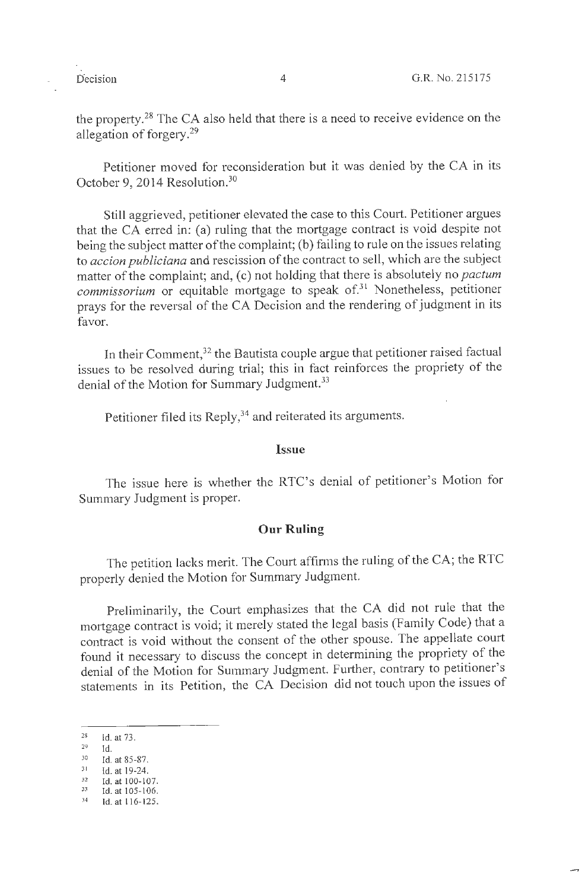the property. 28 The CA also held that there is a need to receive evidence on the allegation of forgery. 29

Petitioner moved for reconsideration but it was denied by the CA in its October 9, 2014 Resolution.<sup>30</sup>

Still aggrieved, petitioner elevated the case to this Court. Petitioner argues that the CA erred in: (a) ruling that the mortgage contract is void despite not being the subject matter of the complaint; (b) failing to rule on the issues relating to *ace ion publiciana* and rescission of the contract to sell, which are the subject matter of the complaint; and, (c) not holding that there is absolutely no *pactum commissorium* or equitable mortgage to speak of.<sup>31</sup> Nonetheless, petitioner prays for the reversal of the CA Decision and the rendering of judgment in its favor.

In their Comment,<sup>32</sup> the Bautista couple argue that petitioner raised factual issues to be resolved during trial; this in fact reinforces the propriety of the denial of the Motion for Summary Judgment.<sup>33</sup>

Petitioner filed its Reply,<sup>34</sup> and reiterated its arguments.

#### **Issue**

The issue here is whether the RTC's denial of petitioner's Motion for Summary Judgment is proper.

#### **Our Ruling**

The petition lacks merit. The Court affirms the ruling of the CA; the RTC properly denied the Motion for Summary Judgment.

Preliminarily, the Court emphasizes that the CA did not rule that the mortgage contract is void; it merely stated the legal basis (Family Code) that a contract is void without the consent of the other spouse. The appellate court found it necessary to discuss the concept in determining the propriety of the denial of the Motion for Summary Judgment. Further, contrary to petitioner's statements in its Petition, the CA Decision did not touch upon the issues of

<sup>28</sup> Id. at 73.

 $29$  Id.

<sup>&</sup>lt;sup>30</sup> Id. at 85-87.

<sup>31</sup> **Id. at 19-24.** 

<sup>&</sup>lt;sup>32</sup> Id. at 100-107.<br><sup>33</sup> Id. at 105-106.<br><sup>34</sup> Id. at 116-125.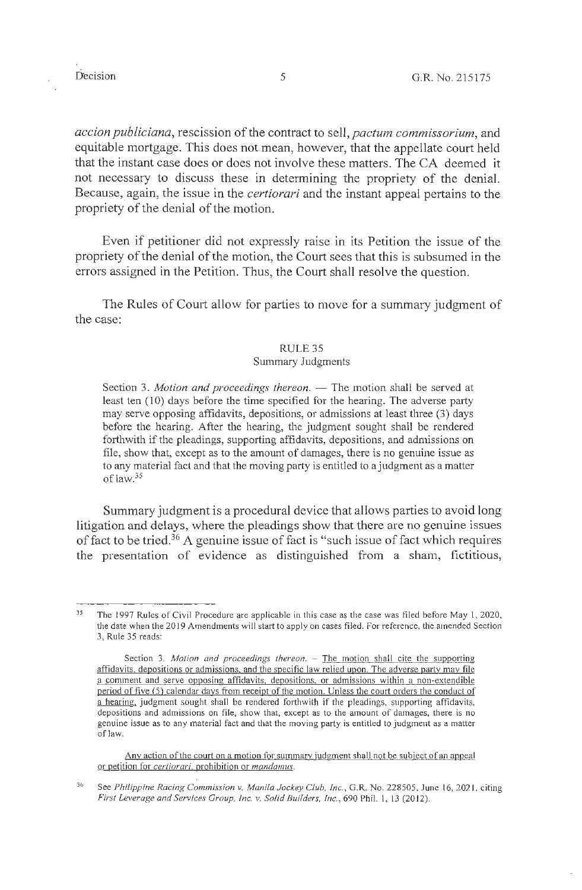*accion publiciana,* rescission of the contract to sell, *pactum commissorium,* and equitable mortgage. This does not mean, however, that the appellate court held that the instant case does or does not involve these matters. The CA deemed it not necessary to discuss these in determining the propriety of the denial. Because, again, the issue in the *certiorari* and the instant appeal pertains to the propriety of the denial of the motion.

Even if petitioner did not expressly raise in its Petition the issue of the propriety of the denial of the motion, the Court sees that this is subsumed in the errors assigned in the Petition. Thus, the Court shall resolve the question.

The Rules of Court allow for parties to move for a summary judgment of the case:

#### RULE 35

#### Summary Judgments

Section 3. *Motion and proceedings thereon*. - The motion shall be served at least ten (10) days before the time specified for the hearing. The adverse party may serve opposing affidavits, depositions, or admissions at least three (3) days before the hearing. After the hearing, the judgment sought shall be rendered forthwith if the pleadings, supporting affidavits, depositions, and admissions on file, show that, except as to the amount of damages, there is no genuine issue as to any material fact and that the moving party is entitled to a judgment as a matter of law.35

Summary judgment is a procedural device that allows parties to avoid long litigation and delays, where the pleadings show that there are no genuine issues of fact to be tried.<sup>36</sup> A genuine issue of fact is "such issue of fact which requires the presentation of evidence as distinguished from a sham, fictitious,

Any action of the court on a motion for summary judgment shall not be subject of an appeal or petition for *certiorari,* prohibition or *mandamus.* 

<sup>35</sup>  The 1997 Rules of Civil Procedure are applicable in this case as the case was filed before May 1, 2020, the date when the 2019 Amendments will start to apply on cases filed. For reference, the amended Section 3, Rule 35 reads:

Section 3. *Motion and proceedings thereon.* - The motion shall cite the supporting affidavits, depositions or admissions, and the specific law relied upon. The adverse party may file a comment and serve opposing affidavits, depositions, or admissions within a non-extendible period of five (5) calendar days from receipt of the motion. Unless the court orders the conduct of a hearing, judgment sought shall be rendered forthwith if the pleadings, supporting affidavits, depositions and admissions on file, show that, except as to the amount of damages, there is no genuine issue as to any material fact and that the moving party is entitled to judgment as a matter of law.

<sup>36</sup>  See *Philippine Racing Commission v. Manila Jockey Club, Inc., G.R. No. 228505, June 16, 2021, citing First leverage and Services Group, Inc. v. Solid Builders, Inc.,* 690 Phil. I, 13 (2012).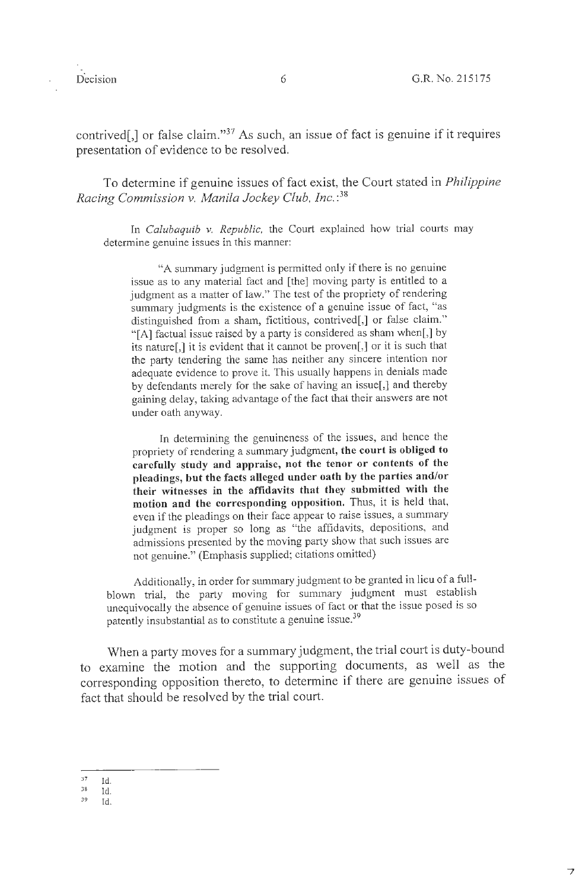contrived[,] or false claim."<sup>37</sup> As such, an issue of fact is genuine if it requires presentation of evidence to be resolved.

To determine if genuine issues of fact exist, the Court stated in *Philippine Racing Commission v. Manila Jockey Club, Inc.* : 38

In *Calubaquib v. Republic*, the Court explained how trial courts may determine genuine issues in this manner:

"A summary judgment is permitted only if there is no genuine issue as to any material fact and [the] moving party is entitled to a judgment as a matter of law." The test of the propriety of rendering summary judgments is the existence of a genuine issue of fact, "as distinguished from a sham, fictitious, contrived[,] or false claim." "[A] factual issue raised by a party is considered as sham when[,] by its nature[,] it is evident that it cannot be proven[,] or it is such that the party tendering the same has neither any sincere intention nor adequate evidence to prove it. This usually happens in denials made by defendants merely for the sake of having an issue[,] and thereby gaining delay, taking advantage of the fact that their answers are not under oath anyway.

In determining the genuineness of the issues, and hence the propriety of rendering a summary judgment, **the court is obliged to carefully study and appraise, not the tenor or contents of the pleadings, but the facts alleged under oath by the parties and/or their witnesses in the affidavits that they submitted with the motion and the corresponding opposition.** Thus, it is held that, even if the pleadings on their face appear to raise issues, a summary judgment is proper so long as "the affidavits, depositions, and admissions presented by the moving party show that such issues are not genuine." (Emphasis supplied; citations omitted)

Additionally, in order for summary judgment to be granted in lieu of a fullblown trial, the party moving for summary judgment must establish unequivocally the absence of genuine issues of fact or that the issue posed is so patently insubstantial as to constitute a genuine issue.<sup>39</sup>

When a party moves for a summary judgment, the trial court is duty-bound to examine the motion and the supporting documents, as well as the corresponding opposition thereto, to determine if there are genuine issues of fact that should be resolved by the trial court.

<sup>37</sup>  Id.

<sup>38</sup>  ld.

<sup>39</sup>  Id.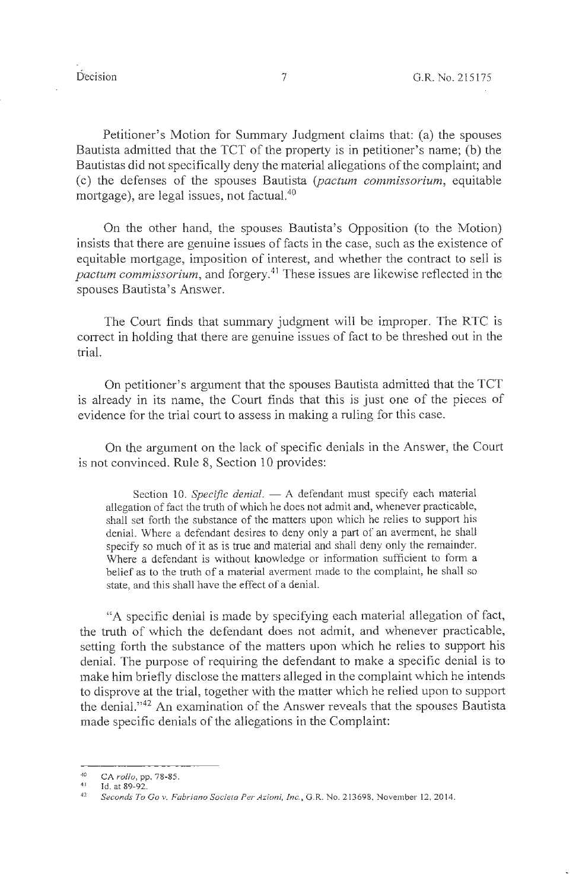Petitioner's Motion for Summary Judgment claims that: (a) the spouses Bautista admitted that the TCT of the property is in petitioner's name; (b) the Bautistas did not specifically deny the material allegations of the complaint; and (c) the defenses of the spouses Bautista (pactum commissorium, equitable mortgage), are legal issues, not factual. $40$ 

On the other hand, the spouses Bautista's Opposition (to the Motion) insists that there are genuine issues of facts in the case, such as the existence of equitable mortgage, imposition of interest, and whether the contract to sell is *pactum commissorium,* and forgery. 41 These issues are likewise reflected in the spouses Bautista's Answer.

The Court finds that summary judgment will be improper. The RTC is correct in holding that there are genuine issues of fact to be threshed out in the trial.

On petitioner's argument that the spouses Bautista admitted that the TCT is already in its name, the Court finds that this is just one of the pieces of evidence for the trial court to assess in making a ruling for this case.

On the argument on the lack of specific denials in the Answer, the Court is not convinced. Rule 8, Section 10 provides:

Section 10. *Specific denial*. - A defendant must specify each material allegation of fact the truth of which he does not admit and, whenever practicable, shall set forth the substance of the matters upon which he relies to support his denial. Where a defendant desires to deny only a part of an averment, he shall specify so much of it as is true and material and shall deny only the remainder. Where a defendant is without knowledge or information sufficient to form a belief as to the truth of a material averment made to the complaint, he shall so state, and this shall have the effect of a denial.

"A specific denial is made by specifying each material allegation of fact, the truth of which the defendant does not admit, and whenever practicable, setting forth the substance of the matters upon which he relies to support his denial. The purpose of requiring the defendant to make a specific denial is to make him briefly disclose the matters alleged in the complaint which he intends to disprove at the trial, together with the matter which he relied upon to support the denial."42 An examination of the Answer reveals that the spouses Bautista made specific denials of the allegations in the Complaint:

<sup>40</sup>  CA *rollo,* pp. 78-85.

<sup>41</sup> 

<sup>&</sup>lt;sup>41</sup> Id. at 89-92.<br><sup>42</sup> *Seconds To Gov. Fabriano Societa Per Azioni, Inc.*, G.R. No. 213698, November 12, 2014.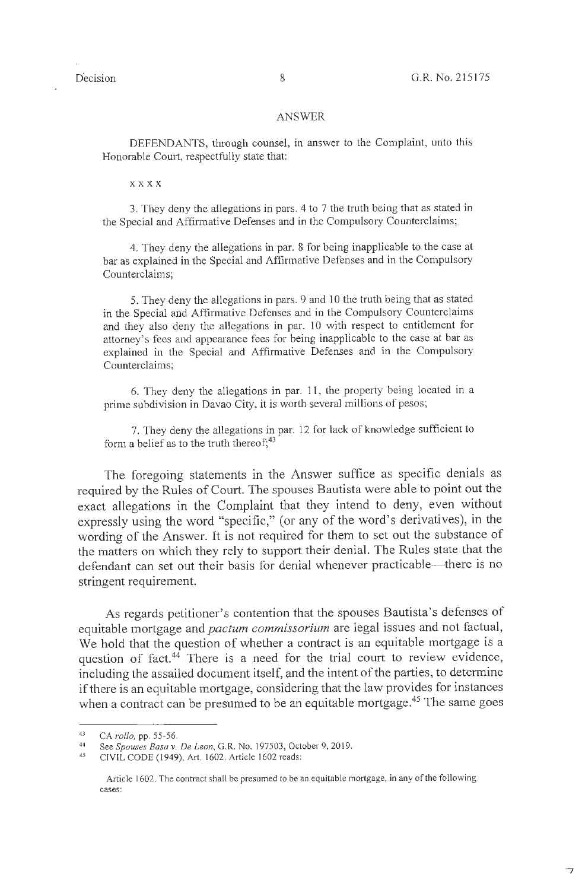$\overline{z}$ 

#### ANSWER

DEFENDANTS, through counsel, in answer to the Complaint, unto this Honorable Court, respectfully state that:

**xxxx** 

3. They deny the allegations in pars. 4 to 7 the truth being that as stated in the Special and Affirmative Defenses and in the Compulsory Counterclaims;

4. They deny the allegations in par. 8 for being inapplicable to the case at bar as explained in the Special and Affirmative Defenses and in the Compulsory Counterclaims;

5. They deny the allegations in pars. 9 and 10 the truth being that as stated in the Special and Affirmative Defenses and in the Compulsory Counterclaims and they also deny the allegations in par. 10 with respect to entitlement for attorney's fees and appearance fees for being inapplicable to the case at bar as explained in the Special and Affirmative Defenses and in the Compulsory Counterclaims;

6. They deny the allegations in par. 11 , the property being located in a prime subdivision in Davao City, it is worth several millions of pesos;

7. They deny the allegations in par. 12 for lack of knowledge sufficient to form a belief as to the truth thereof;  $43$ 

The foregoing statements in the Answer suffice as specific denials as required by the Rules of Court. The spouses Bautista were able to point out the exact allegations in the Complaint that they intend to deny, even without expressly using the word "specific," (or any of the word's derivatives), in the wording of the Answer. It is not required for them to set out the substance of the matters on which they rely to support their denial. The Rules state that the defendant can set out their basis for denial whenever practicable—there is no stringent requirement.

As regards petitioner's contention that the spouses Bautista's defenses of equitable mortgage and *pactum commissorium.* are legal issues and not factual, We hold that the question of whether a contract is an equitable mortgage is a question of fact.<sup>44</sup> There is a need for the trial court to review evidence, including the assailed document itself, and the intent of the parties, to determine if there is an equitable mortgage, considering that the law provides for instances when a contract can be presumed to be an equitable mortgage.<sup>45</sup> The same goes

<sup>43</sup>  CA *rollo,* pp. 55-56.

<sup>44</sup>  See *Spouses Basa* v. *De Leon,* G.R. No. 197503, October 9, 2019.

<sup>45</sup>  CIVIL CODE (1949), Art. 1602. Article 1602 reads:

Article 1602. The contract shall be presumed to be an equitable mortgage, in any of the following cases: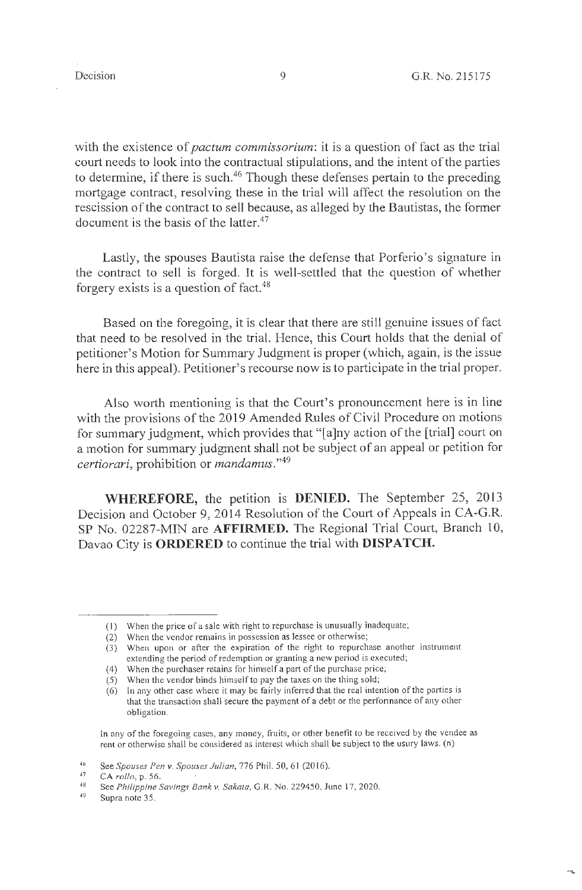$\overline{a}$ 

with the existence of *pactum commissorium*: it is a question of fact as the trial court needs to look into the contractual stipulations, and the intent of the parties to determine, if there is such.<sup>46</sup> Though these defenses pertain to the preceding mortgage contract, resolving these in the trial will affect the resolution on the rescission of the contract to sell because, as alleged by the Bautistas, the former document is the basis of the latter.<sup>47</sup>

Lastly, the spouses Bautista raise the defense that Porferio's signature in the contract to sell is forged. It is well-settled that the question of whether forgery exists is a question of fact. $48$ 

Based on the foregoing, it is clear that there are still genuine issues of fact that need to be resolved in the trial. Hence, this Court holds that the denial of petitioner's Motion for Summary Judgment is proper (which, again, is the issue here in this appeal). Petitioner's recourse now is to participate in the trial proper.

Also worth mentioning is that the Court's pronouncement here is in line with the provisions of the 2019 Amended Rules of Civil Procedure on motions for summary judgment, which provides that "[a]ny action of the [trial] court on a motion for summary judgment shall not be subject of an appeal or petition for *certiorari,* prohibition or *mandamus." <sup>49</sup>*

**WHEREFORE,** the petition is **DENIED.** The September 25, 2013 Decision and October 9, 2014 Resolution of the Court of Appeals in CA-G.R. SP No. 02287-MIN are **AFFIRMED.** The Regional Trial Court, Branch 10, Davao City is **ORDERED** to continue the trial with **DISPATCH.** 

In any of the foregoing cases, any money, fruits, or other benefit to be received by the vendee as rent or otherwise shall be considered as interest which shall be subject to the usury laws. (n)

<sup>(</sup> I) When the price of a sale with right to repurchase is unusually inadequate;

<sup>(2)</sup> When the vendor remains in possession as lessee or otherwise;

<sup>(3)</sup> When upon or after the expiration of the right to repurchase another instrument extending the period of redemption or granting a new period is executed;

<sup>(4)</sup> When the purchaser retains for himself a part of the purchase price;

 $(5)$  When the vendor binds himself to pay the taxes on the thing sold;

<sup>(6)</sup> In any other case where it may be fairly inferred that the real intention of the parties is that the transaction shall secure the payment of a debt or the performance of any other obligation.

<sup>46</sup>  See *Spouses Pen v. Spouses Julian,* 776 Phil. 50, 61 (2016).

<sup>47</sup>  CA *rol/o,* p. 56.

<sup>48</sup>  See *Philippine Savings Bank v. Sakata,* G.R. No. 229450, June 17, 2020.

<sup>49</sup>  Supra note 35.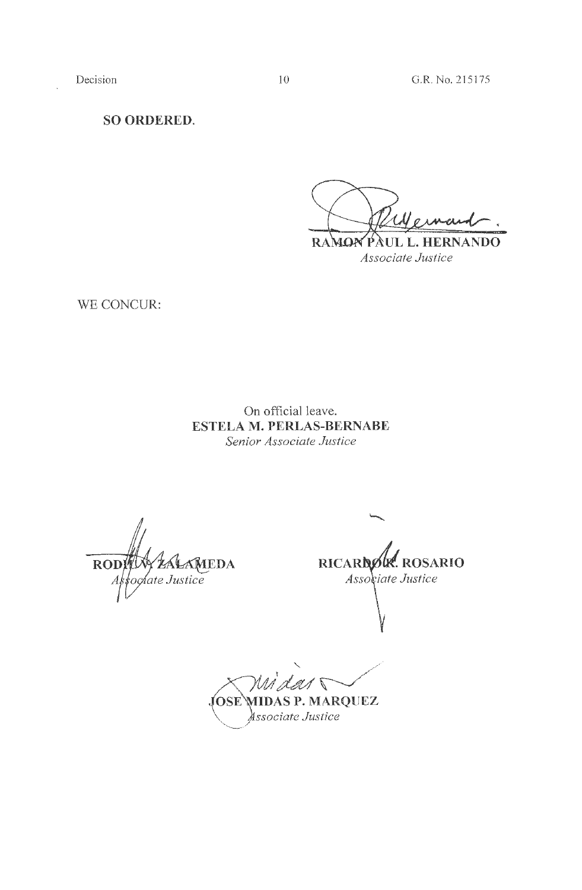**SO ORDERED.** 

RAMON PAUL L. HERNANDO *Associate Justice* 

WE CONCUR:

On official leave. **ESTELA M. PERLAS-BERNABE**  *Senior Associate Justice* 

AMEDA **ROD** oglate Justice

**RICARDOW. ROSARIO** Associate Justice

 $\sqrt{2}$ **OSE MIDAS P. MARQUEZ** *ssociate Justice*